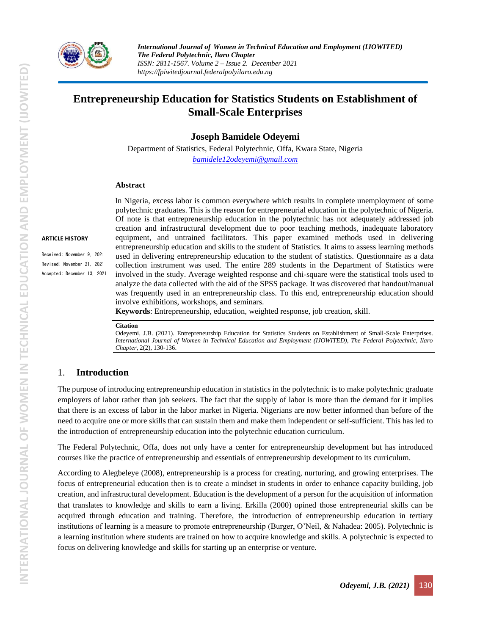

*International Journal of Women in Technical Education and Employment (IJOWITED) The Federal Polytechnic, Ilaro Chapter ISSN: 2811-1567. Volume 2 – Issue 2. December 2021 https://fpiwitedjournal.federalpolyilaro.edu.ng*

# **Entrepreneurship Education for Statistics Students on Establishment of Small-Scale Enterprises**

**Joseph Bamidele Odeyemi**

Department of Statistics, Federal Polytechnic, Offa, Kwara State, Nigeria *[bamidele12odeyemi@gmail.com](mailto:bamidele12odeyemi@gmail.com)*

#### **Abstract**

#### **ARTICLE HISTORY**

Received: November 9, 2021 Revised: November 21, 2021 Accepted: December 13, 2021 In Nigeria, excess labor is common everywhere which results in complete unemployment of some polytechnic graduates. This is the reason for entrepreneurial education in the polytechnic of Nigeria. Of note is that entrepreneurship education in the polytechnic has not adequately addressed job creation and infrastructural development due to poor teaching methods, inadequate laboratory equipment, and untrained facilitators. This paper examined methods used in delivering entrepreneurship education and skills to the student of Statistics. It aims to assess learning methods used in delivering entrepreneurship education to the student of statistics. Questionnaire as a data collection instrument was used. The entire 289 students in the Department of Statistics were involved in the study. Average weighted response and chi-square were the statistical tools used to analyze the data collected with the aid of the SPSS package. It was discovered that handout/manual was frequently used in an entrepreneurship class. To this end, entrepreneurship education should involve exhibitions, workshops, and seminars.

**Keywords**: Entrepreneurship, education, weighted response, job creation, skill.

#### **Citation**

Odeyemi, J.B. (2021). Entrepreneurship Education for Statistics Students on Establishment of Small-Scale Enterprises. *International Journal of Women in Technical Education and Employment (IJOWITED), The Federal Polytechnic, Ilaro Chapter*, 2(2), 130-136.

### 1. **Introduction**

The purpose of introducing entrepreneurship education in statistics in the polytechnic is to make polytechnic graduate employers of labor rather than job seekers. The fact that the supply of labor is more than the demand for it implies that there is an excess of labor in the labor market in Nigeria. Nigerians are now better informed than before of the need to acquire one or more skills that can sustain them and make them independent or self-sufficient. This has led to the introduction of entrepreneurship education into the polytechnic education curriculum.

The Federal Polytechnic, Offa, does not only have a center for entrepreneurship development but has introduced courses like the practice of entrepreneurship and essentials of entrepreneurship development to its curriculum.

According to Alegbeleye (2008), entrepreneurship is a process for creating, nurturing, and growing enterprises. The focus of entrepreneurial education then is to create a mindset in students in order to enhance capacity building, job creation, and infrastructural development. Education is the development of a person for the acquisition of information that translates to knowledge and skills to earn a living. Erkilla (2000) opined those entrepreneurial skills can be acquired through education and training. Therefore, the introduction of entrepreneurship education in tertiary institutions of learning is a measure to promote entrepreneurship (Burger, O'Neil, & Nahadea: 2005). Polytechnic is a learning institution where students are trained on how to acquire knowledge and skills. A polytechnic is expected to focus on delivering knowledge and skills for starting up an enterprise or venture.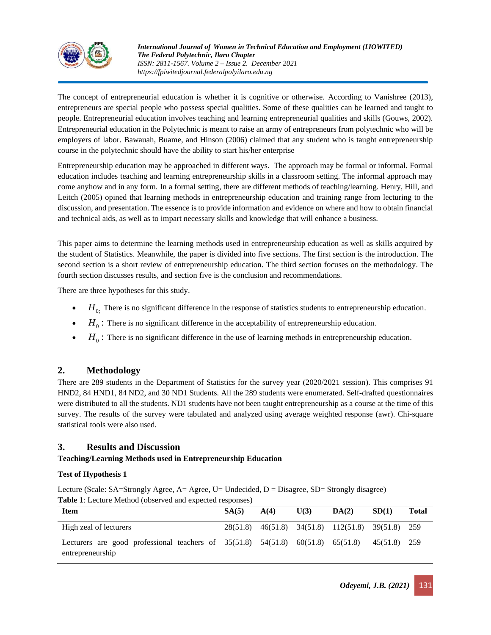

The concept of entrepreneurial education is whether it is cognitive or otherwise. According to Vanishree (2013), entrepreneurs are special people who possess special qualities. Some of these qualities can be learned and taught to people. Entrepreneurial education involves teaching and learning entrepreneurial qualities and skills (Gouws, 2002). Entrepreneurial education in the Polytechnic is meant to raise an army of entrepreneurs from polytechnic who will be employers of labor. Bawauah, Buame, and Hinson (2006) claimed that any student who is taught entrepreneurship course in the polytechnic should have the ability to start his/her enterprise

Entrepreneurship education may be approached in different ways. The approach may be formal or informal. Formal education includes teaching and learning entrepreneurship skills in a classroom setting. The informal approach may come anyhow and in any form. In a formal setting, there are different methods of teaching/learning. Henry, Hill, and Leitch (2005) opined that learning methods in entrepreneurship education and training range from lecturing to the discussion, and presentation. The essence is to provide information and evidence on where and how to obtain financial and technical aids, as well as to impart necessary skills and knowledge that will enhance a business.

This paper aims to determine the learning methods used in entrepreneurship education as well as skills acquired by the student of Statistics. Meanwhile, the paper is divided into five sections. The first section is the introduction. The second section is a short review of entrepreneurship education. The third section focuses on the methodology. The fourth section discusses results, and section five is the conclusion and recommendations.

There are three hypotheses for this study.

- $\bullet$  *H*<sub>0;</sub> There is no significant difference in the response of statistics students to entrepreneurship education.
- $\bullet$   $H_0$ : There is no significant difference in the acceptability of entrepreneurship education.
- $\bullet$   $H_0$ : There is no significant difference in the use of learning methods in entrepreneurship education.

# **2. Methodology**

There are 289 students in the Department of Statistics for the survey year (2020/2021 session). This comprises 91 HND2, 84 HND1, 84 ND2, and 30 ND1 Students. All the 289 students were enumerated. Self-drafted questionnaires were distributed to all the students. ND1 students have not been taught entrepreneurship as a course at the time of this survey. The results of the survey were tabulated and analyzed using average weighted response (awr). Chi-square statistical tools were also used.

## **3. Results and Discussion**

### **Teaching/Learning Methods used in Entrepreneurship Education**

### **Test of Hypothesis 1**

Lecture (Scale: SA=Strongly Agree, A= Agree, U= Undecided, D = Disagree, SD= Strongly disagree) **Table 1**: Lecture Method (observed and expected responses)

| <b>Item</b>                                                                                                 | SA(5) | A(4) | U(3) | DA(2)                                             | SD(1)        | <b>Total</b> |
|-------------------------------------------------------------------------------------------------------------|-------|------|------|---------------------------------------------------|--------------|--------------|
| High zeal of lecturers                                                                                      |       |      |      | 28(51.8) 46(51.8) 34(51.8) 112(51.8) 39(51.8) 259 |              |              |
| Lecturers are good professional teachers of $35(51.8)$ $54(51.8)$ $60(51.8)$ $65(51.8)$<br>entrepreneurship |       |      |      |                                                   | 45(51.8) 259 |              |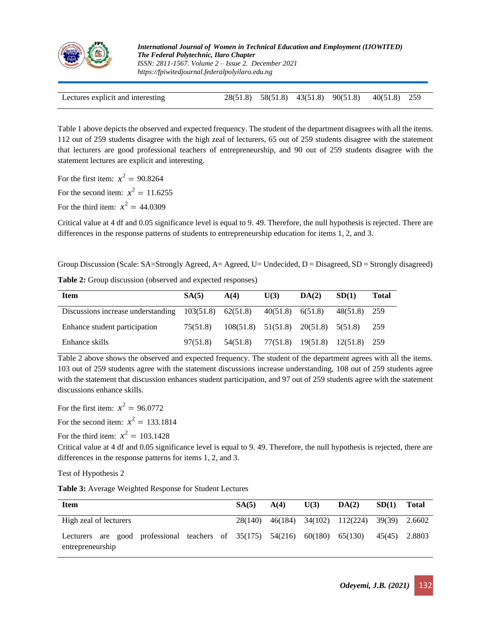

| Lectures explicit and interesting |  |  |  |  | 28(51.8) 58(51.8) 43(51.8) 90(51.8) 40(51.8) 259 |  |
|-----------------------------------|--|--|--|--|--------------------------------------------------|--|
|-----------------------------------|--|--|--|--|--------------------------------------------------|--|

Table 1 above depicts the observed and expected frequency. The student of the department disagrees with all the items. 112 out of 259 students disagree with the high zeal of lecturers, 65 out of 259 students disagree with the statement that lecturers are good professional teachers of entrepreneurship, and 90 out of 259 students disagree with the statement lectures are explicit and interesting.

For the first item:  $x^2 = 90.8264$ For the second item:  $x^2 = 11.6255$ 

For the third item:  $x^2 = 44.0309$ 

Critical value at 4 df and 0.05 significance level is equal to 9. 49. Therefore, the null hypothesis is rejected. There are differences in the response patterns of students to entrepreneurship education for items 1, 2, and 3.

Group Discussion (Scale: SA=Strongly Agreed, A= Agreed, U= Undecided, D = Disagreed, SD = Strongly disagreed)

| <b>Item</b>                                                                    | SA(5)    | A(4)                                        | U(3) | DA(2) | SD(1)        | Total |
|--------------------------------------------------------------------------------|----------|---------------------------------------------|------|-------|--------------|-------|
| Discussions increase understanding $103(51.8)$ $62(51.8)$ $40(51.8)$ $6(51.8)$ |          |                                             |      |       | 48(51.8) 259 |       |
| Enhance student participation                                                  | 75(51.8) | $108(51.8)$ $51(51.8)$ $20(51.8)$ $5(51.8)$ |      |       |              | 259   |
| Enhance skills                                                                 | 97(51.8) | 54(51.8) 77(51.8) 19(51.8) 12(51.8) 259     |      |       |              |       |

**Table 2:** Group discussion (observed and expected responses)

Table 2 above shows the observed and expected frequency. The student of the department agrees with all the items. 103 out of 259 students agree with the statement discussions increase understanding, 108 out of 259 students agree with the statement that discussion enhances student participation, and 97 out of 259 students agree with the statement discussions enhance skills.

For the first item:  $x^2 = 96.0772$ 

For the second item:  $x^2 = 133.1814$ 

For the third item:  $x^2 = 103.1428$ 

Critical value at 4 df and 0.05 significance level is equal to 9. 49. Therefore, the null hypothesis is rejected, there are differences in the response patterns for items 1, 2, and 3.

Test of Hypothesis 2

**Table 3:** Average Weighted Response for Student Lectures

| <b>Item</b>                                                                                             | SA(5)   | A(4) | U(3) | DA(2)                                  | SD(1)         | <b>Total</b> |
|---------------------------------------------------------------------------------------------------------|---------|------|------|----------------------------------------|---------------|--------------|
| High zeal of lecturers                                                                                  | 28(140) |      |      | 46(184) 34(102) 112(224) 39(39) 2.6602 |               |              |
| Lecturers are good professional teachers of $35(175)$ $54(216)$ $60(180)$ $65(130)$<br>entrepreneurship |         |      |      |                                        | 45(45) 2.8803 |              |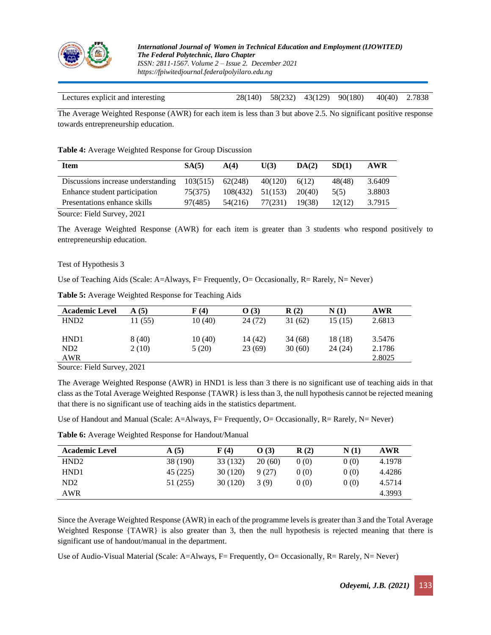

| Lectures explicit and interesting |  | 28(140) 58(232) 43(129) 90(180) 40(40) 2.7838 |  |
|-----------------------------------|--|-----------------------------------------------|--|

The Average Weighted Response (AWR) for each item is less than 3 but above 2.5. No significant positive response towards entrepreneurship education.

**Table 4:** Average Weighted Response for Group Discussion

| <b>Item</b>                        | SA(5)    | A(4)     | U(3)    | DA(2)  | SD(1)  | <b>AWR</b> |
|------------------------------------|----------|----------|---------|--------|--------|------------|
| Discussions increase understanding | 103(515) | 62(248)  | 40(120) | 6(12)  | 48(48) | 3.6409     |
| Enhance student participation      | 75(375)  | 108(432) | 51(153) | 20(40) | 5(5)   | 3.8803     |
| Presentations enhance skills       | 97(485)  | 54(216)  | 77(231) | 19(38) | 12(12) | 3.7915     |

Source: Field Survey, 2021

The Average Weighted Response (AWR) for each item is greater than 3 students who respond positively to entrepreneurship education.

### Test of Hypothesis 3

Use of Teaching Aids (Scale: A=Always, F= Frequently, O= Occasionally, R= Rarely, N= Never)

| <b>Academic Level</b> | $\mathbf{A}(5)$ | F(4)    | O(3)    | R(2)   | N(1)    | <b>AWR</b> |
|-----------------------|-----------------|---------|---------|--------|---------|------------|
| HND <sub>2</sub>      | 11 (55)         | 10 (40) | 24 (72) | 31(62) | 15 (15) | 2.6813     |
| HND1                  | 8(40)           | 10(40)  | 14 (42) | 34(68) | 18 (18) | 3.5476     |
| ND <sub>2</sub>       | 2(10)           | 5(20)   | 23(69)  | 30(60) | 24(24)  | 2.1786     |
| AWR                   |                 |         |         |        |         | 2.8025     |

**Table 5:** Average Weighted Response for Teaching Aids

Source: Field Survey, 2021

The Average Weighted Response (AWR) in HND1 is less than 3 there is no significant use of teaching aids in that class as the Total Average Weighted Response {TAWR} is less than 3, the null hypothesis cannot be rejected meaning that there is no significant use of teaching aids in the statistics department.

Use of Handout and Manual (Scale: A=Always, F= Frequently, O= Occasionally, R= Rarely, N= Never)

| Table 6: Average Weighted Response for Handout/Manual |  |
|-------------------------------------------------------|--|

| <b>Academic Level</b> | A(5)     | F(4)     | O(3)   | R(2) | N(1) | <b>AWR</b> |
|-----------------------|----------|----------|--------|------|------|------------|
| HND <sub>2</sub>      | 38 (190) | 33 (132) | 20(60) | 0(0) | 0(0) | 4.1978     |
| HND <sub>1</sub>      | 45 (225) | 30 (120) | 9(27)  | 0(0) | 0(0) | 4.4286     |
| ND <sub>2</sub>       | 51 (255) | 30 (120) | 3(9)   | 0(0) | 0(0) | 4.5714     |
| <b>AWR</b>            |          |          |        |      |      | 4.3993     |

Since the Average Weighted Response (AWR) in each of the programme levels is greater than 3 and the Total Average Weighted Response {TAWR} is also greater than 3, then the null hypothesis is rejected meaning that there is significant use of handout/manual in the department.

Use of Audio-Visual Material (Scale: A=Always, F= Frequently, O= Occasionally, R= Rarely, N= Never)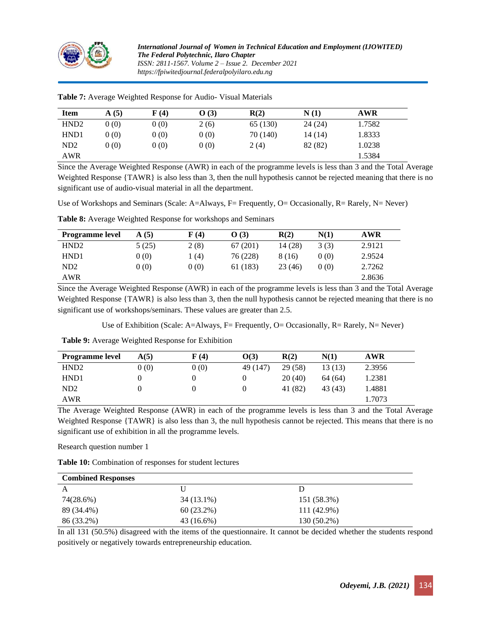

*International Journal of Women in Technical Education and Employment (IJOWITED) The Federal Polytechnic, Ilaro Chapter ISSN: 2811-1567. Volume 2 – Issue 2. December 2021 https://fpiwitedjournal.federalpolyilaro.edu.ng*

| <b>Item</b>      | (5)<br>A | $\bf{F}$ (4) | O(3) | R(2)     | N(1)    | <b>AWR</b> |  |
|------------------|----------|--------------|------|----------|---------|------------|--|
| HND <sub>2</sub> | 0(0)     | 0(0)         | 2(6) | 65 (130) | 24(24)  | 1.7582     |  |
| HND <sub>1</sub> | 0(0)     | 0(0)         | 0(0) | 70 (140) | 14 (14) | 1.8333     |  |
| ND <sub>2</sub>  | 0(0)     | 0(0)         | 0(0) | 2(4)     | 82 (82) | 1.0238     |  |
| <b>AWR</b>       |          |              |      |          |         | 1.5384     |  |

**Table 7:** Average Weighted Response for Audio- Visual Materials

Since the Average Weighted Response (AWR) in each of the programme levels is less than 3 and the Total Average Weighted Response {TAWR} is also less than 3, then the null hypothesis cannot be rejected meaning that there is no significant use of audio-visual material in all the department.

Use of Workshops and Seminars (Scale: A=Always, F= Frequently, O= Occasionally, R= Rarely, N= Never)

| <b>Programme</b> level | A(5)  | F(4) | O(3)     | R(2)    | N(1) | <b>AWR</b> |
|------------------------|-------|------|----------|---------|------|------------|
| HND <sub>2</sub>       | 5(25) | 2(8) | 67(201)  | 14 (28) | 3(3) | 2.9121     |
| HND <sub>1</sub>       | 0(0)  | 1(4) | 76 (228) | 8 (16)  | 0(0) | 2.9524     |
| ND2                    | 0(0)  | 0(0) | 61 (183) | 23 (46) | 0(0) | 2.7262     |
| AWR                    |       |      |          |         |      | 2.8636     |

**Table 8:** Average Weighted Response for workshops and Seminars

Since the Average Weighted Response (AWR) in each of the programme levels is less than 3 and the Total Average Weighted Response {TAWR} is also less than 3, then the null hypothesis cannot be rejected meaning that there is no significant use of workshops/seminars. These values are greater than 2.5.

Use of Exhibition (Scale: A=Always, F= Frequently, O= Occasionally, R= Rarely, N= Never)

**Table 9:** Average Weighted Response for Exhibition

| <b>Programme level</b> | A(5) | F(4) | O(3)     | R(2)    | N(1)    | AWR    |  |
|------------------------|------|------|----------|---------|---------|--------|--|
| HND <sub>2</sub>       | 0(0) | 0(0) | 49 (147) | 29 (58) | 13 (13) | 2.3956 |  |
| HND <sub>1</sub>       |      |      |          | 20(40)  | 64(64)  | 1.2381 |  |
| ND2                    |      |      |          | 41 (82) | 43 (43) | 1.4881 |  |
| AWR                    |      |      |          |         |         | 1.7073 |  |

The Average Weighted Response (AWR) in each of the programme levels is less than 3 and the Total Average Weighted Response {TAWR} is also less than 3, the null hypothesis cannot be rejected. This means that there is no significant use of exhibition in all the programme levels.

Research question number 1

**Table 10:** Combination of responses for student lectures

| <b>Combined Responses</b> |              |             |  |
|---------------------------|--------------|-------------|--|
|                           |              |             |  |
| 74(28.6%)                 | 34 (13.1%)   | 151 (58.3%) |  |
| 89 (34.4%)                | $60(23.2\%)$ | 111 (42.9%) |  |
| 86 (33.2%)                | $43(16.6\%)$ | 130 (50.2%) |  |

In all 131 (50.5%) disagreed with the items of the questionnaire. It cannot be decided whether the students respond positively or negatively towards entrepreneurship education.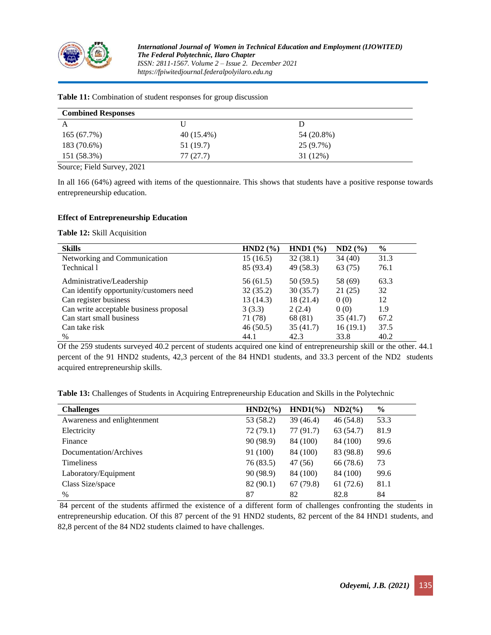

| $40(15.4\%)$ | 54 (20.8%) |  |
|--------------|------------|--|
| 51 (19.7)    | 25 (9.7%)  |  |
| 77(27.7)     | 31 (12%)   |  |
|              |            |  |

#### **Table 11:** Combination of student responses for group discussion

Source; Field Survey, 2021

In all 166 (64%) agreed with items of the questionnaire. This shows that students have a positive response towards entrepreneurship education.

### **Effect of Entrepreneurship Education**

**Table 12:** Skill Acquisition

| <b>Skills</b>                           | HND2 $(\% )$ | HND1 $(\% )$ | ND2(%)   | $\%$ |
|-----------------------------------------|--------------|--------------|----------|------|
| Networking and Communication            | 15 (16.5)    | 32(38.1)     | 34(40)   | 31.3 |
| Technical 1                             | 85 (93.4)    | 49 (58.3)    | 63 (75)  | 76.1 |
| Administrative/Leadership               | 56 (61.5)    | 50 (59.5)    | 58 (69)  | 63.3 |
| Can identify opportunity/customers need | 32(35.2)     | 30(35.7)     | 21(25)   | 32   |
| Can register business                   | 13(14.3)     | 18(21.4)     | 0(0)     | 12   |
| Can write acceptable business proposal  | 3(3.3)       | 2(2.4)       | 0(0)     | 1.9  |
| Can start small business                | 71 (78)      | 68 (81)      | 35(41.7) | 67.2 |
| Can take risk                           | 46(50.5)     | 35(41.7)     | 16(19.1) | 37.5 |
| $\frac{0}{0}$                           | 44.1         | 42.3         | 33.8     | 40.2 |

Of the 259 students surveyed 40.2 percent of students acquired one kind of entrepreneurship skill or the other. 44.1 percent of the 91 HND2 students, 42,3 percent of the 84 HND1 students, and 33.3 percent of the ND2 students acquired entrepreneurship skills.

**Table 13:** Challenges of Students in Acquiring Entrepreneurship Education and Skills in the Polytechnic

| <b>Challenges</b>           | $HND2(\%)$ | $HND1(\%)$ | $ND2\left(\frac{9}{6}\right)$ | $\%$ |
|-----------------------------|------------|------------|-------------------------------|------|
| Awareness and enlightenment | 53 (58.2)  | 39 (46.4)  | 46 (54.8)                     | 53.3 |
| Electricity                 | 72(79.1)   | 77 (91.7)  | 63 (54.7)                     | 81.9 |
| Finance                     | 90 (98.9)  | 84 (100)   | 84 (100)                      | 99.6 |
| Documentation/Archives      | 91 (100)   | 84 (100)   | 83 (98.8)                     | 99.6 |
| <b>Timeliness</b>           | 76 (83.5)  | 47 (56)    | 66 (78.6)                     | 73   |
| Laboratory/Equipment        | 90 (98.9)  | 84 (100)   | 84 (100)                      | 99.6 |
| Class Size/space            | 82(90.1)   | 67(79.8)   | 61(72.6)                      | 81.1 |
| $\frac{0}{0}$               | 87         | 82         | 82.8                          | 84   |

84 percent of the students affirmed the existence of a different form of challenges confronting the students in entrepreneurship education. Of this 87 percent of the 91 HND2 students, 82 percent of the 84 HND1 students, and 82,8 percent of the 84 ND2 students claimed to have challenges.